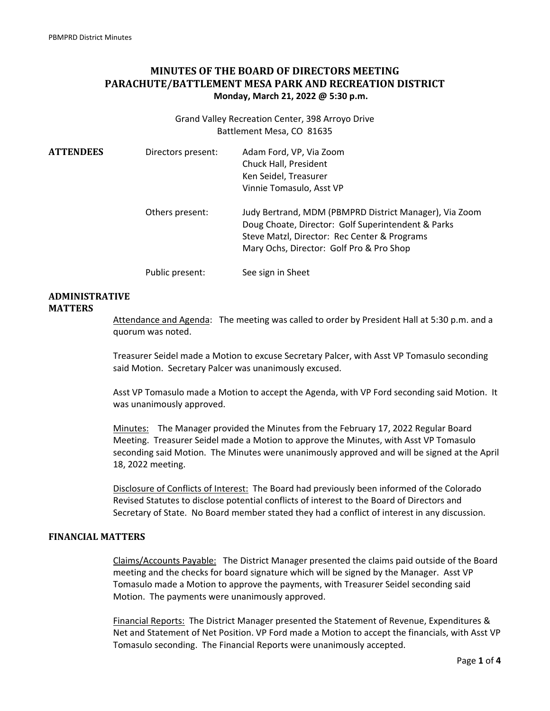# **MINUTES OF THE BOARD OF DIRECTORS MEETING PARACHUTE/BATTLEMENT MESA PARK AND RECREATION DISTRICT Monday, March 21, 2022 @ 5:30 p.m.**

Grand Valley Recreation Center, 398 Arroyo Drive Battlement Mesa, CO 81635

| <b>ATTENDEES</b> | Directors present: | Adam Ford, VP, Via Zoom<br>Chuck Hall, President<br>Ken Seidel, Treasurer<br>Vinnie Tomasulo, Asst VP                                                                                                    |
|------------------|--------------------|----------------------------------------------------------------------------------------------------------------------------------------------------------------------------------------------------------|
|                  | Others present:    | Judy Bertrand, MDM (PBMPRD District Manager), Via Zoom<br>Doug Choate, Director: Golf Superintendent & Parks<br>Steve Matzl, Director: Rec Center & Programs<br>Mary Ochs, Director: Golf Pro & Pro Shop |
|                  | Public present:    | See sign in Sheet                                                                                                                                                                                        |

# **ADMINISTRATIVE**

### **MATTERS**

Attendance and Agenda: The meeting was called to order by President Hall at 5:30 p.m. and a quorum was noted.

Treasurer Seidel made a Motion to excuse Secretary Palcer, with Asst VP Tomasulo seconding said Motion. Secretary Palcer was unanimously excused.

Asst VP Tomasulo made a Motion to accept the Agenda, with VP Ford seconding said Motion. It was unanimously approved.

Minutes: The Manager provided the Minutes from the February 17, 2022 Regular Board Meeting. Treasurer Seidel made a Motion to approve the Minutes, with Asst VP Tomasulo seconding said Motion. The Minutes were unanimously approved and will be signed at the April 18, 2022 meeting.

Disclosure of Conflicts of Interest: The Board had previously been informed of the Colorado Revised Statutes to disclose potential conflicts of interest to the Board of Directors and Secretary of State. No Board member stated they had a conflict of interest in any discussion.

#### **FINANCIAL MATTERS**

Claims/Accounts Payable: The District Manager presented the claims paid outside of the Board meeting and the checks for board signature which will be signed by the Manager. Asst VP Tomasulo made a Motion to approve the payments, with Treasurer Seidel seconding said Motion. The payments were unanimously approved.

Financial Reports: The District Manager presented the Statement of Revenue, Expenditures & Net and Statement of Net Position. VP Ford made a Motion to accept the financials, with Asst VP Tomasulo seconding. The Financial Reports were unanimously accepted.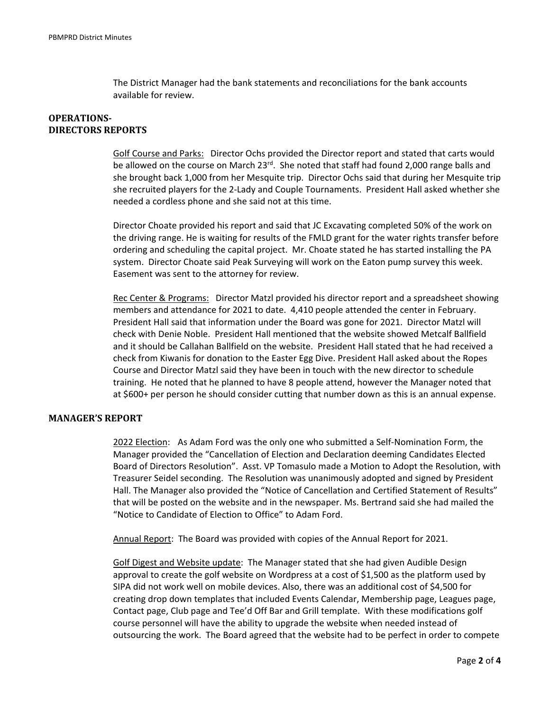The District Manager had the bank statements and reconciliations for the bank accounts available for review.

## **OPERATIONS-DIRECTORS REPORTS**

Golf Course and Parks: Director Ochs provided the Director report and stated that carts would be allowed on the course on March  $23^{\text{rd}}$ . She noted that staff had found 2,000 range balls and she brought back 1,000 from her Mesquite trip. Director Ochs said that during her Mesquite trip she recruited players for the 2‐Lady and Couple Tournaments. President Hall asked whether she needed a cordless phone and she said not at this time.

Director Choate provided his report and said that JC Excavating completed 50% of the work on the driving range. He is waiting for results of the FMLD grant for the water rights transfer before ordering and scheduling the capital project. Mr. Choate stated he has started installing the PA system. Director Choate said Peak Surveying will work on the Eaton pump survey this week. Easement was sent to the attorney for review.

Rec Center & Programs: Director Matzl provided his director report and a spreadsheet showing members and attendance for 2021 to date. 4,410 people attended the center in February. President Hall said that information under the Board was gone for 2021. Director Matzl will check with Denie Noble. President Hall mentioned that the website showed Metcalf Ballfield and it should be Callahan Ballfield on the website. President Hall stated that he had received a check from Kiwanis for donation to the Easter Egg Dive. President Hall asked about the Ropes Course and Director Matzl said they have been in touch with the new director to schedule training. He noted that he planned to have 8 people attend, however the Manager noted that at \$600+ per person he should consider cutting that number down as this is an annual expense.

### **MANAGER'S REPORT**

 2022 Election: As Adam Ford was the only one who submitted a Self‐Nomination Form, the Manager provided the "Cancellation of Election and Declaration deeming Candidates Elected Board of Directors Resolution". Asst. VP Tomasulo made a Motion to Adopt the Resolution, with Treasurer Seidel seconding. The Resolution was unanimously adopted and signed by President Hall. The Manager also provided the "Notice of Cancellation and Certified Statement of Results" that will be posted on the website and in the newspaper. Ms. Bertrand said she had mailed the "Notice to Candidate of Election to Office" to Adam Ford.

Annual Report: The Board was provided with copies of the Annual Report for 2021.

 Golf Digest and Website update: The Manager stated that she had given Audible Design approval to create the golf website on Wordpress at a cost of \$1,500 as the platform used by SIPA did not work well on mobile devices. Also, there was an additional cost of \$4,500 for creating drop down templates that included Events Calendar, Membership page, Leagues page, Contact page, Club page and Tee'd Off Bar and Grill template. With these modifications golf course personnel will have the ability to upgrade the website when needed instead of outsourcing the work. The Board agreed that the website had to be perfect in order to compete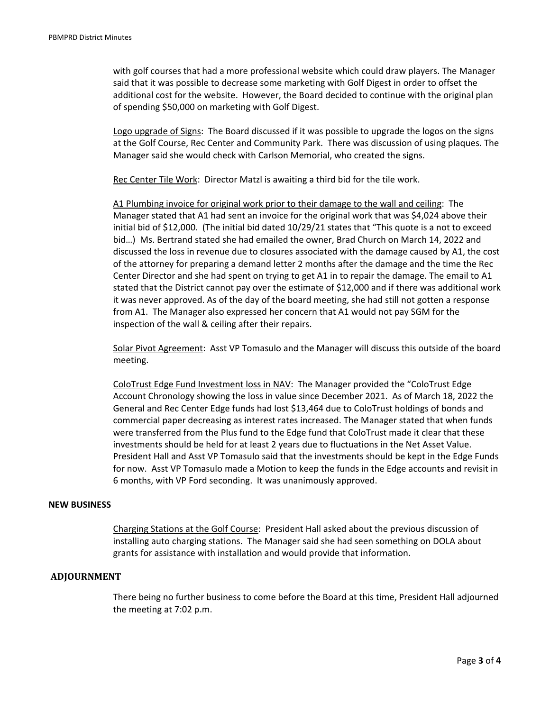with golf courses that had a more professional website which could draw players. The Manager said that it was possible to decrease some marketing with Golf Digest in order to offset the additional cost for the website. However, the Board decided to continue with the original plan of spending \$50,000 on marketing with Golf Digest.

 Logo upgrade of Signs: The Board discussed if it was possible to upgrade the logos on the signs at the Golf Course, Rec Center and Community Park. There was discussion of using plaques. The Manager said she would check with Carlson Memorial, who created the signs.

Rec Center Tile Work: Director Matzl is awaiting a third bid for the tile work.

 A1 Plumbing invoice for original work prior to their damage to the wall and ceiling: The Manager stated that A1 had sent an invoice for the original work that was \$4,024 above their initial bid of \$12,000. (The initial bid dated 10/29/21 states that "This quote is a not to exceed bid…) Ms. Bertrand stated she had emailed the owner, Brad Church on March 14, 2022 and discussed the loss in revenue due to closures associated with the damage caused by A1, the cost of the attorney for preparing a demand letter 2 months after the damage and the time the Rec Center Director and she had spent on trying to get A1 in to repair the damage. The email to A1 stated that the District cannot pay over the estimate of \$12,000 and if there was additional work it was never approved. As of the day of the board meeting, she had still not gotten a response from A1. The Manager also expressed her concern that A1 would not pay SGM for the inspection of the wall & ceiling after their repairs.

 Solar Pivot Agreement: Asst VP Tomasulo and the Manager will discuss this outside of the board meeting.

 ColoTrust Edge Fund Investment loss in NAV: The Manager provided the "ColoTrust Edge Account Chronology showing the loss in value since December 2021. As of March 18, 2022 the General and Rec Center Edge funds had lost \$13,464 due to ColoTrust holdings of bonds and commercial paper decreasing as interest rates increased. The Manager stated that when funds were transferred from the Plus fund to the Edge fund that ColoTrust made it clear that these investments should be held for at least 2 years due to fluctuations in the Net Asset Value. President Hall and Asst VP Tomasulo said that the investments should be kept in the Edge Funds for now. Asst VP Tomasulo made a Motion to keep the funds in the Edge accounts and revisit in 6 months, with VP Ford seconding. It was unanimously approved.

#### **NEW BUSINESS**

 Charging Stations at the Golf Course: President Hall asked about the previous discussion of installing auto charging stations. The Manager said she had seen something on DOLA about grants for assistance with installation and would provide that information.

#### **ADJOURNMENT**

There being no further business to come before the Board at this time, President Hall adjourned the meeting at 7:02 p.m.